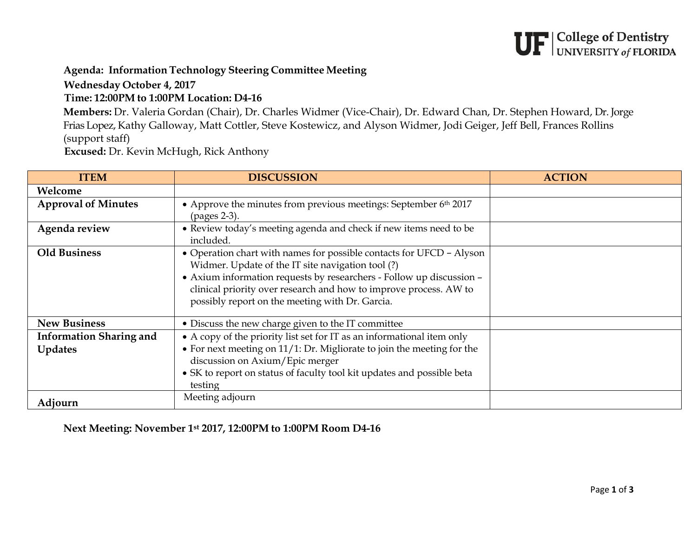### **UF** College of Dentistry<br>UF UNIVERSITY of FLORIDA

### **Agenda: Information Technology Steering Committee Meeting**

**Wednesday October 4, 2017**

**Time: 12:00PM to 1:00PM Location: D4-16**

**Members:** Dr. Valeria Gordan (Chair), Dr. Charles Widmer (Vice-Chair), Dr. Edward Chan, Dr. Stephen Howard, Dr. Jorge Frias Lopez, Kathy Galloway, Matt Cottler, Steve Kostewicz, and Alyson Widmer, Jodi Geiger, Jeff Bell, Frances Rollins (support staff)

**Excused:** Dr. Kevin McHugh, Rick Anthony

| <b>ITEM</b>                                      | <b>DISCUSSION</b>                                                                                                                                                                                                                                                                                                         | <b>ACTION</b> |
|--------------------------------------------------|---------------------------------------------------------------------------------------------------------------------------------------------------------------------------------------------------------------------------------------------------------------------------------------------------------------------------|---------------|
| Welcome                                          |                                                                                                                                                                                                                                                                                                                           |               |
| <b>Approval of Minutes</b>                       | • Approve the minutes from previous meetings: September 6th 2017<br>(pages 2-3).                                                                                                                                                                                                                                          |               |
| Agenda review                                    | • Review today's meeting agenda and check if new items need to be<br>included.                                                                                                                                                                                                                                            |               |
| <b>Old Business</b>                              | • Operation chart with names for possible contacts for UFCD - Alyson<br>Widmer. Update of the IT site navigation tool (?)<br>• Axium information requests by researchers - Follow up discussion -<br>clinical priority over research and how to improve process. AW to<br>possibly report on the meeting with Dr. Garcia. |               |
| <b>New Business</b>                              | • Discuss the new charge given to the IT committee                                                                                                                                                                                                                                                                        |               |
| <b>Information Sharing and</b><br><b>Updates</b> | • A copy of the priority list set for IT as an informational item only<br>$\bullet$ For next meeting on 11/1: Dr. Migliorate to join the meeting for the<br>discussion on Axium/Epic merger<br>• SK to report on status of faculty tool kit updates and possible beta<br>testing                                          |               |
| Adjourn                                          | Meeting adjourn                                                                                                                                                                                                                                                                                                           |               |

**Next Meeting: November 1st 2017, 12:00PM to 1:00PM Room D4-16**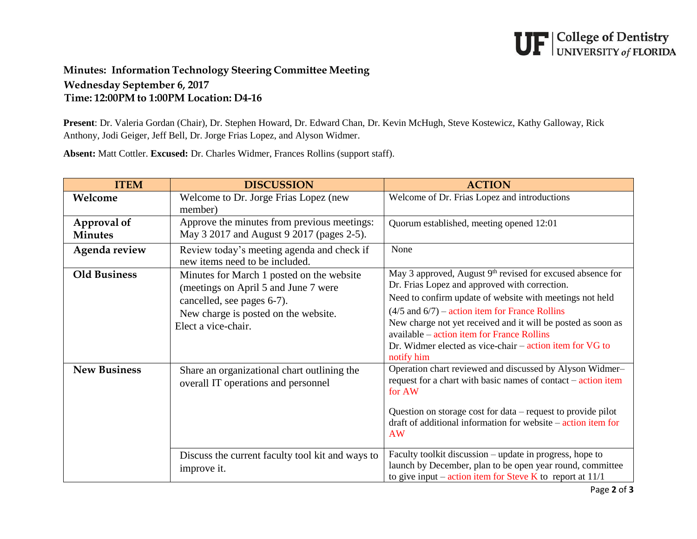## **UF** College of Dentistry<br>UF UNIVERSITY of FLORIDA

### **Minutes: Information Technology Steering Committee Meeting Wednesday September 6, 2017 Time: 12:00PM to 1:00PM Location: D4-16**

**Present**: Dr. Valeria Gordan (Chair), Dr. Stephen Howard, Dr. Edward Chan, Dr. Kevin McHugh, Steve Kostewicz, Kathy Galloway, Rick Anthony, Jodi Geiger, Jeff Bell, Dr. Jorge Frias Lopez, and Alyson Widmer.

**Absent:** Matt Cottler. **Excused:** Dr. Charles Widmer, Frances Rollins (support staff).

| <b>ITEM</b>                   | <b>DISCUSSION</b>                                                                                                                                                              | <b>ACTION</b>                                                                                                                                                                                                                                                                                                                                                                                                                                                             |
|-------------------------------|--------------------------------------------------------------------------------------------------------------------------------------------------------------------------------|---------------------------------------------------------------------------------------------------------------------------------------------------------------------------------------------------------------------------------------------------------------------------------------------------------------------------------------------------------------------------------------------------------------------------------------------------------------------------|
| Welcome                       | Welcome to Dr. Jorge Frias Lopez (new<br>member)                                                                                                                               | Welcome of Dr. Frias Lopez and introductions                                                                                                                                                                                                                                                                                                                                                                                                                              |
| Approval of<br><b>Minutes</b> | Approve the minutes from previous meetings:<br>May 3 2017 and August 9 2017 (pages 2-5).                                                                                       | Quorum established, meeting opened 12:01                                                                                                                                                                                                                                                                                                                                                                                                                                  |
| Agenda review                 | Review today's meeting agenda and check if<br>new items need to be included.                                                                                                   | None                                                                                                                                                                                                                                                                                                                                                                                                                                                                      |
| <b>Old Business</b>           | Minutes for March 1 posted on the website<br>(meetings on April 5 and June 7 were<br>cancelled, see pages 6-7).<br>New charge is posted on the website.<br>Elect a vice-chair. | May 3 approved, August $9th$ revised for excused absence for<br>Dr. Frias Lopez and approved with correction.<br>Need to confirm update of website with meetings not held<br>$(4/5$ and $6/7)$ – action item for France Rollins<br>New charge not yet received and it will be posted as soon as<br>available – action item for France Rollins<br>Dr. Widmer elected as vice-chair $-$ action item for VG to<br>notify him                                                 |
| <b>New Business</b>           | Share an organizational chart outlining the<br>overall IT operations and personnel<br>Discuss the current faculty tool kit and ways to<br>improve it.                          | Operation chart reviewed and discussed by Alyson Widmer-<br>request for a chart with basic names of contact – action item<br>for AW<br>Question on storage cost for data – request to provide pilot<br>draft of additional information for website – action item for<br><b>AW</b><br>Faculty toolkit discussion – update in progress, hope to<br>launch by December, plan to be open year round, committee<br>to give input – action item for Steve K to report at $11/1$ |